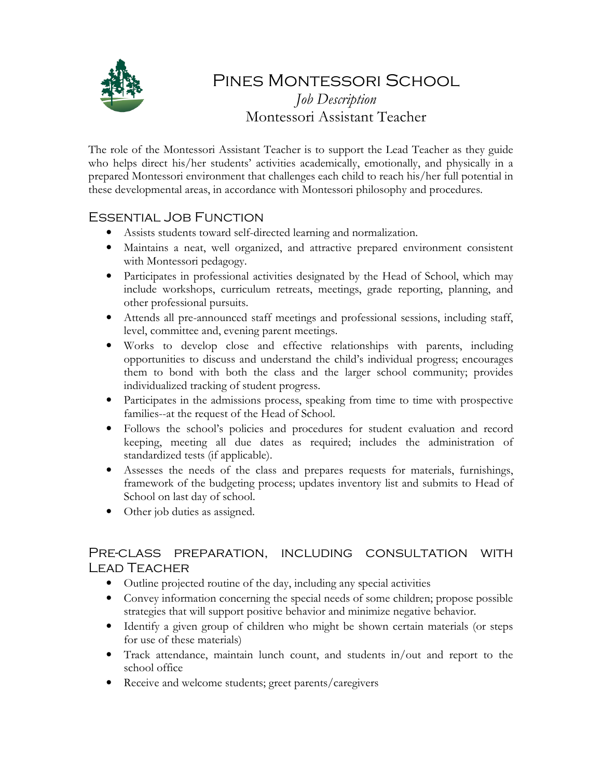

# Pines Montessori School *Job Description*  Montessori Assistant Teacher

The role of the Montessori Assistant Teacher is to support the Lead Teacher as they guide who helps direct his/her students' activities academically, emotionally, and physically in a prepared Montessori environment that challenges each child to reach his/her full potential in these developmental areas, in accordance with Montessori philosophy and procedures.

## Essential Job Function

- Assists students toward self-directed learning and normalization.
- Maintains a neat, well organized, and attractive prepared environment consistent with Montessori pedagogy.
- Participates in professional activities designated by the Head of School, which may include workshops, curriculum retreats, meetings, grade reporting, planning, and other professional pursuits.
- Attends all pre-announced staff meetings and professional sessions, including staff, level, committee and, evening parent meetings.
- Works to develop close and effective relationships with parents, including opportunities to discuss and understand the child's individual progress; encourages them to bond with both the class and the larger school community; provides individualized tracking of student progress.
- Participates in the admissions process, speaking from time to time with prospective families--at the request of the Head of School.
- Follows the school's policies and procedures for student evaluation and record keeping, meeting all due dates as required; includes the administration of standardized tests (if applicable).
- Assesses the needs of the class and prepares requests for materials, furnishings, framework of the budgeting process; updates inventory list and submits to Head of School on last day of school.
- Other job duties as assigned.

## Pre-class preparation, including consultation with Lead Teacher

- Outline projected routine of the day, including any special activities
- Convey information concerning the special needs of some children; propose possible strategies that will support positive behavior and minimize negative behavior.
- Identify a given group of children who might be shown certain materials (or steps for use of these materials)
- Track attendance, maintain lunch count, and students in/out and report to the school office
- Receive and welcome students; greet parents/caregivers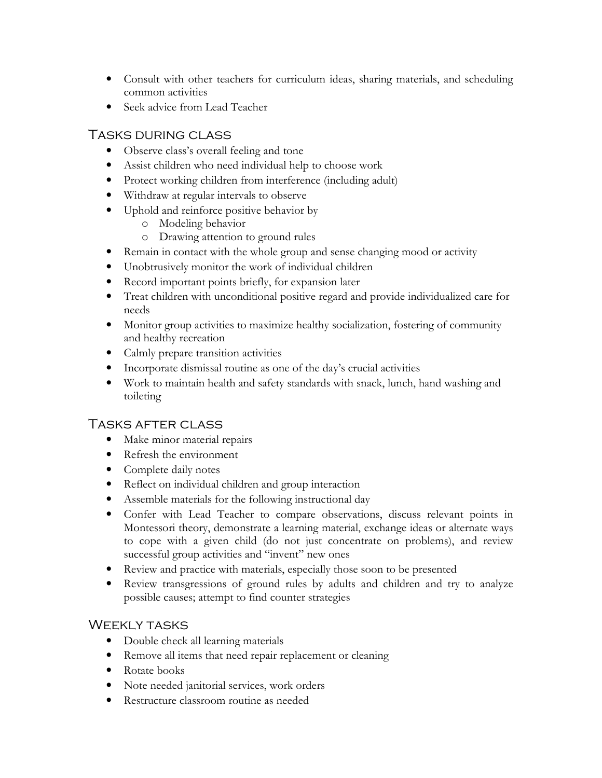- Consult with other teachers for curriculum ideas, sharing materials, and scheduling common activities
- Seek advice from Lead Teacher

## Tasks during class

- Observe class's overall feeling and tone
- Assist children who need individual help to choose work
- Protect working children from interference (including adult)
- Withdraw at regular intervals to observe
- Uphold and reinforce positive behavior by
	- o Modeling behavior
	- o Drawing attention to ground rules
- Remain in contact with the whole group and sense changing mood or activity
- Unobtrusively monitor the work of individual children
- Record important points briefly, for expansion later
- Treat children with unconditional positive regard and provide individualized care for needs
- Monitor group activities to maximize healthy socialization, fostering of community and healthy recreation
- Calmly prepare transition activities
- Incorporate dismissal routine as one of the day's crucial activities
- Work to maintain health and safety standards with snack, lunch, hand washing and toileting

#### Tasks after class

- Make minor material repairs
- Refresh the environment
- Complete daily notes
- Reflect on individual children and group interaction
- Assemble materials for the following instructional day
- Confer with Lead Teacher to compare observations, discuss relevant points in Montessori theory, demonstrate a learning material, exchange ideas or alternate ways to cope with a given child (do not just concentrate on problems), and review successful group activities and "invent" new ones
- Review and practice with materials, especially those soon to be presented
- Review transgressions of ground rules by adults and children and try to analyze possible causes; attempt to find counter strategies

#### Weekly tasks

- Double check all learning materials
- Remove all items that need repair replacement or cleaning
- Rotate books
- Note needed janitorial services, work orders
- Restructure classroom routine as needed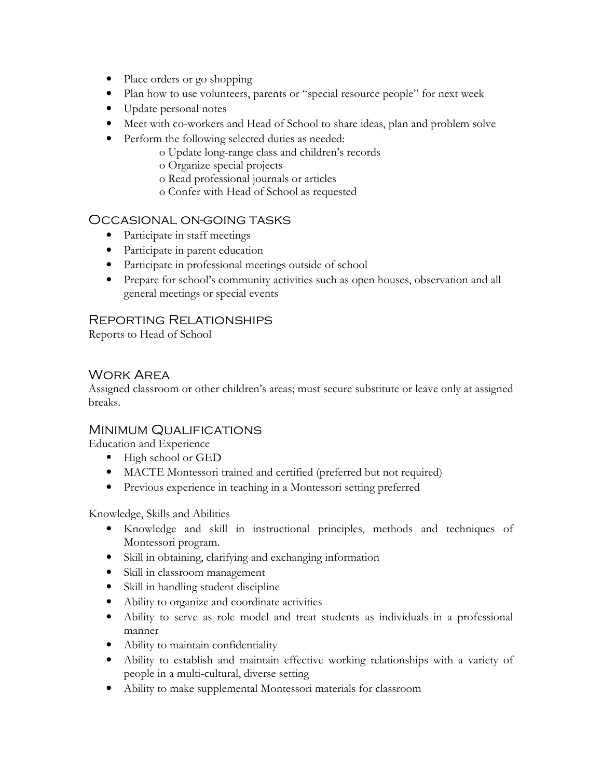- Place orders or go shopping
- Plan how to use volunteers, parents or "special resource people" for next week
- Update personal notes
- Meet with co-workers and Head of School to share ideas, plan and problem solve
- Perform the following selected duties as needed:
	- o Update long-range class and children's records
	- o Organize special projects
	- o Read professional journals or articles
	- o Confer with Head of School as requested

#### Occasional on-going tasks

- Participate in staff meetings
- Participate in parent education
- Participate in professional meetings outside of school
- Prepare for school's community activities such as open houses, observation and all general meetings or special events

## Reporting Relationships

Reports to Head of School

### Work Area

Assigned classroom or other children's areas; must secure substitute or leave only at assigned breaks.

#### MINIMUM QUALIFICATIONS

Education and Experience

- High school or GED
- MACTE Montessori trained and certified (preferred but not required)
- Previous experience in teaching in a Montessori setting preferred

Knowledge, Skills and Abilities

- Knowledge and skill in instructional principles, methods and techniques of Montessori program.
- Skill in obtaining, clarifying and exchanging information
- Skill in classroom management
- Skill in handling student discipline
- Ability to organize and coordinate activities
- Ability to serve as role model and treat students as individuals in a professional manner
- Ability to maintain confidentiality
- Ability to establish and maintain effective working relationships with a variety of people in a multi-cultural, diverse setting
- Ability to make supplemental Montessori materials for classroom